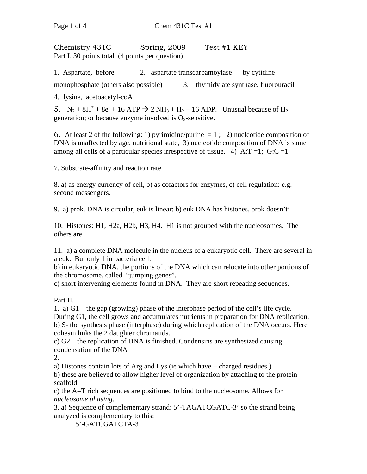Chemistry 431C Spring, 2009 Test #1 KEY Part I. 30 points total (4 points per question)

1. Aspartate, before 2. aspartate transcarbamoylase by cytidine

monophosphate (others also possible) 3. thymidylate synthase, fluorouracil

4. lysine, acetoacetyl-coA

5.  $N_2 + 8H^+ + 8e^- + 16$  ATP  $\rightarrow$  2 NH<sub>3</sub> + H<sub>2</sub> + 16 ADP. Unusual because of H<sub>2</sub> generation; or because enzyme involved is  $O_2$ -sensitive.

6. At least 2 of the following: 1) pyrimidine/purine  $= 1$ ; 2) nucleotide composition of DNA is unaffected by age, nutritional state, 3) nucleotide composition of DNA is same among all cells of a particular species irrespective of tissue. 4) A: $T = 1$ ; G:C = 1

7. Substrate-affinity and reaction rate.

8. a) as energy currency of cell, b) as cofactors for enzymes, c) cell regulation: e.g. second messengers.

9. a) prok. DNA is circular, euk is linear; b) euk DNA has histones, prok doesn't'

10. Histones: H1, H2a, H2b, H3, H4. H1 is not grouped with the nucleosomes. The others are.

11. a) a complete DNA molecule in the nucleus of a eukaryotic cell. There are several in a euk. But only 1 in bacteria cell.

b) in eukaryotic DNA, the portions of the DNA which can relocate into other portions of the chromosome, called "jumping genes".

c) short intervening elements found in DNA. They are short repeating sequences.

## Part II.

1. a) G1 – the gap (growing) phase of the interphase period of the cell's life cycle. During G1, the cell grows and accumulates nutrients in preparation for DNA replication. b) S- the synthesis phase (interphase) during which replication of the DNA occurs. Here cohesin links the 2 daughter chromatids.

c) G2 – the replication of DNA is finished. Condensins are synthesized causing condensation of the DNA

2.

a) Histones contain lots of Arg and Lys (ie which have + charged residues.)

b) these are believed to allow higher level of organization by attaching to the protein scaffold

c) the A=T rich sequences are positioned to bind to the nucleosome. Allows for *nucleosome phasing*.

3. a) Sequence of complementary strand: 5'-TAGATCGATC-3' so the strand being analyzed is complementary to this:

5'-GATCGATCTA-3'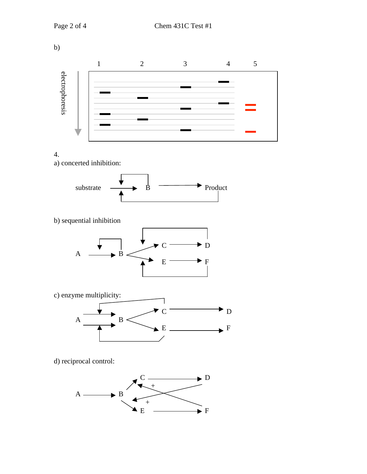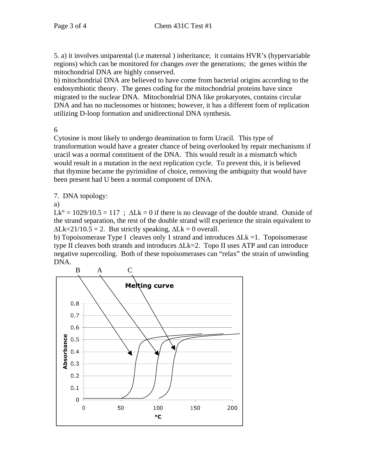5. a) it involves uniparental (i.e maternal ) inheritance; it contains HVR's (hypervariable regions) which can be monitored for changes over the generations; the genes within the mitochondrial DNA are highly conserved.

b) mitochondrial DNA are believed to have come from bacterial origins according to the endosymbiotic theory. The genes coding for the mitochondrial proteins have since migrated to the nuclear DNA. Mitochondrial DNA like prokaryotes, contains circular DNA and has no nucleosomes or histones; however, it has a different form of replication utilizing D-loop formation and unidirectional DNA synthesis.

6

Cytosine is most likely to undergo deamination to form Uracil. This type of transformation would have a greater chance of being overlooked by repair mechanisms if uracil was a normal constituent of the DNA. This would result in a mismatch which would result in a mutation in the next replication cycle. To prevent this, it is believed that thymine became the pyrimidine of choice, removing the ambiguity that would have been present had U been a normal component of DNA.

7. DNA topology:

a)

 $Lk^{\circ} = 1029/10.5 = 117$ ;  $\Delta Lk = 0$  if there is no cleavage of the double strand. Outside of the strand separation, the rest of the double strand will experience the strain equivalent to  $\Delta Lk=21/10.5 = 2$ . But strictly speaking,  $\Delta Lk = 0$  overall.

b) Topoisomerase Type I cleaves only 1 strand and introduces  $\Delta Lk = 1$ . Topoisomerase type II cleaves both strands and introduces  $\Delta Lk=2$ . Topo II uses ATP and can introduce negative supercoiling. Both of these topoisomerases can "relax" the strain of unwinding DNA.